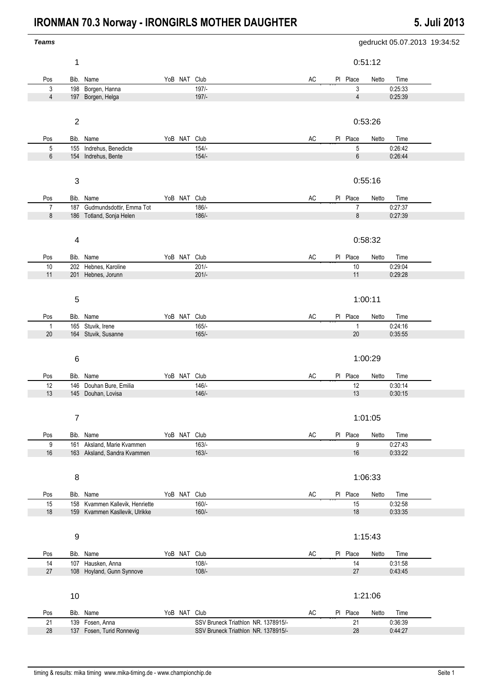## **IRONMAN 70.3 Norway - IRONGIRLS MOTHER DAUGHTER 5. Juli 2013**

| <b>Teams</b>   |                         |                                               |              |                                     |    |                        | gedruckt 05.07.2013 19:34:52 |
|----------------|-------------------------|-----------------------------------------------|--------------|-------------------------------------|----|------------------------|------------------------------|
|                | 1                       |                                               |              |                                     |    |                        | 0:51:12                      |
| Pos            |                         | Bib. Name                                     | YoB NAT Club |                                     | AC | PI Place               | Netto<br>Time                |
| 3              | 198                     | Borgen, Hanna                                 |              | $197/-$                             |    | $\mathsf 3$            | 0:25:33                      |
| $\overline{4}$ | 197                     | Borgen, Helga                                 |              | $197/-$                             |    | $\overline{4}$         | 0:25:39                      |
|                | $\overline{\mathbf{c}}$ |                                               |              |                                     |    |                        | 0:53:26                      |
| Pos            |                         | Bib. Name                                     | YoB NAT Club |                                     | AC | PI Place               | Netto<br>Time                |
| $\mathbf 5$    | 155                     | Indrehus, Benedicte                           |              | $154/-$                             |    | $\mathbf 5$            | 0:26:42                      |
| 6              |                         | 154 Indrehus, Bente                           |              | $154/-$                             |    | $\,6$                  | 0:26:44                      |
|                | $\sqrt{3}$              |                                               |              |                                     |    |                        | 0:55:16                      |
| Pos            |                         | Bib. Name                                     | YoB NAT Club |                                     | AC | PI Place               | Netto<br>Time                |
| $\overline{7}$ |                         | 187 Gudmundsdottir, Emma Tot                  |              | 186/-                               |    | $\overline{7}$         | 0:27:37                      |
| 8              |                         | 186 Totland, Sonja Helen                      |              | 186/-                               |    | $\bf 8$                | 0:27:39                      |
|                | 4                       |                                               |              |                                     |    |                        | 0:58:32                      |
| Pos            |                         | Bib. Name                                     | YoB NAT Club |                                     | AC | PI Place               | Netto<br>Time                |
| $10$           |                         | 202 Hebnes, Karoline                          |              | $201/-$                             |    | $10$                   | 0:29:04                      |
| 11             |                         | 201 Hebnes, Jorunn                            |              | $201/-$                             |    | 11                     | 0:29:28                      |
|                | 5                       |                                               |              |                                     |    |                        | 1:00:11                      |
|                |                         |                                               |              |                                     |    |                        |                              |
| Pos            |                         | Bib. Name                                     | YoB NAT Club |                                     | AC | PI Place               | Netto<br>Time                |
| 1<br>$20\,$    |                         | 165 Stuvik, Irene<br>164 Stuvik, Susanne      |              | $165/-$<br>$165/-$                  |    | $\mathbf{1}$<br>$20\,$ | 0:24:16<br>0:35:55           |
|                | 6                       |                                               |              |                                     |    |                        | 1:00:29                      |
| Pos            |                         | Bib. Name                                     | YoB NAT Club |                                     | AC | PI Place               | Netto<br>Time                |
| 12<br>13       |                         | 146 Douhan Bure, Emilia<br>145 Douhan, Lovisa |              | 146/<br>$146/-$                     |    | 12<br>13               | 0:30:14<br>0:30:15           |
|                |                         |                                               |              |                                     |    |                        |                              |
|                | $\overline{7}$          |                                               |              |                                     |    |                        | 1:01:05                      |
| Pos            |                         | Bib. Name                                     | YoB NAT Club |                                     | AC | PI Place               | Netto<br>Time                |
| 9              | 161                     | Aksland, Marie Kvammen                        |              | $163/-$                             |    | $\boldsymbol{9}$       | 0:27:43                      |
| 16             |                         | 163 Aksland, Sandra Kvammen                   |              | $163/-$                             |    | 16                     | 0:33:22                      |
|                | 8                       |                                               |              |                                     |    |                        | 1:06:33                      |
| Pos            |                         | Bib. Name                                     | YoB NAT Club |                                     | AC | PI Place               | Netto<br>Time                |
| 15             | 158                     | Kvammen Kallevik, Henriette                   |              | $160/-$                             |    | 15                     | 0:32:58                      |
| 18             |                         | 159 Kvammen Kasllevik, Ulrikke                |              | $160/-$                             |    | 18                     | 0:33:35                      |
|                | 9                       |                                               |              |                                     |    |                        | 1:15:43                      |
| Pos            |                         | Bib. Name                                     | YoB NAT Club |                                     | AC | PI Place               | Netto<br>Time                |
| 14             | 107                     | Hausken, Anna                                 |              | $108/-$                             |    | 14                     | 0:31:58                      |
| $27\,$         |                         | 108 Hoyland, Gunn Synnove                     |              | $108/-$                             |    | 27                     | 0:43:45                      |
|                | 10                      |                                               |              |                                     |    |                        | 1:21:06                      |
| Pos            |                         | Bib. Name                                     | YoB NAT Club |                                     | AC | PI Place               | Netto<br>Time                |
| 21             |                         | 139 Fosen, Anna                               |              | SSV Bruneck Triathlon NR. 1378915/- |    | 21                     | 0:36:39                      |
| 28             |                         | 137 Fosen, Turid Ronnevig                     |              | SSV Bruneck Triathlon NR. 1378915/- |    | 28                     | 0.44.27                      |